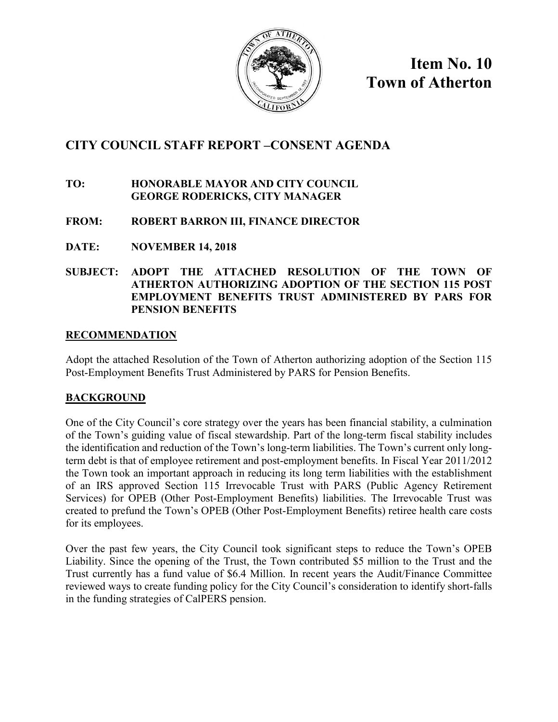

**Item No. 10 Town of Atherton**

## **CITY COUNCIL STAFF REPORT –CONSENT AGENDA**

#### **TO: HONORABLE MAYOR AND CITY COUNCIL GEORGE RODERICKS, CITY MANAGER**

### **FROM: ROBERT BARRON III, FINANCE DIRECTOR**

**DATE: NOVEMBER 14, 2018**

#### **SUBJECT: ADOPT THE ATTACHED RESOLUTION OF THE TOWN OF ATHERTON AUTHORIZING ADOPTION OF THE SECTION 115 POST EMPLOYMENT BENEFITS TRUST ADMINISTERED BY PARS FOR PENSION BENEFITS**

#### **RECOMMENDATION**

Adopt the attached Resolution of the Town of Atherton authorizing adoption of the Section 115 Post-Employment Benefits Trust Administered by PARS for Pension Benefits.

### **BACKGROUND**

One of the City Council's core strategy over the years has been financial stability, a culmination of the Town's guiding value of fiscal stewardship. Part of the long-term fiscal stability includes the identification and reduction of the Town's long-term liabilities. The Town's current only longterm debt is that of employee retirement and post-employment benefits. In Fiscal Year 2011/2012 the Town took an important approach in reducing its long term liabilities with the establishment of an IRS approved Section 115 Irrevocable Trust with PARS (Public Agency Retirement Services) for OPEB (Other Post-Employment Benefits) liabilities. The Irrevocable Trust was created to prefund the Town's OPEB (Other Post-Employment Benefits) retiree health care costs for its employees.

Over the past few years, the City Council took significant steps to reduce the Town's OPEB Liability. Since the opening of the Trust, the Town contributed \$5 million to the Trust and the Trust currently has a fund value of \$6.4 Million. In recent years the Audit/Finance Committee reviewed ways to create funding policy for the City Council's consideration to identify short-falls in the funding strategies of CalPERS pension.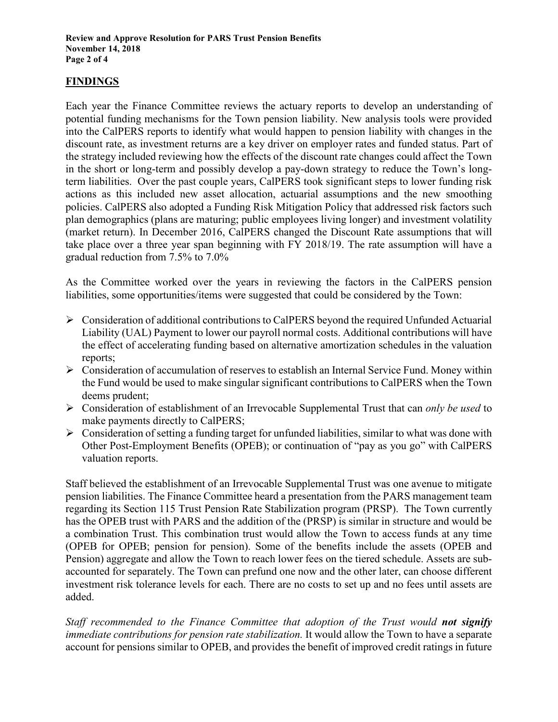#### **FINDINGS**

Each year the Finance Committee reviews the actuary reports to develop an understanding of potential funding mechanisms for the Town pension liability. New analysis tools were provided into the CalPERS reports to identify what would happen to pension liability with changes in the discount rate, as investment returns are a key driver on employer rates and funded status. Part of the strategy included reviewing how the effects of the discount rate changes could affect the Town in the short or long-term and possibly develop a pay-down strategy to reduce the Town's longterm liabilities. Over the past couple years, CalPERS took significant steps to lower funding risk actions as this included new asset allocation, actuarial assumptions and the new smoothing policies. CalPERS also adopted a Funding Risk Mitigation Policy that addressed risk factors such plan demographics (plans are maturing; public employees living longer) and investment volatility (market return). In December 2016, CalPERS changed the Discount Rate assumptions that will take place over a three year span beginning with FY 2018/19. The rate assumption will have a gradual reduction from 7.5% to 7.0%

As the Committee worked over the years in reviewing the factors in the CalPERS pension liabilities, some opportunities/items were suggested that could be considered by the Town:

- Consideration of additional contributions to CalPERS beyond the required Unfunded Actuarial Liability (UAL) Payment to lower our payroll normal costs. Additional contributions will have the effect of accelerating funding based on alternative amortization schedules in the valuation reports;
- $\triangleright$  Consideration of accumulation of reserves to establish an Internal Service Fund. Money within the Fund would be used to make singular significant contributions to CalPERS when the Town deems prudent;
- Consideration of establishment of an Irrevocable Supplemental Trust that can *only be used* to make payments directly to CalPERS;
- $\triangleright$  Consideration of setting a funding target for unfunded liabilities, similar to what was done with Other Post-Employment Benefits (OPEB); or continuation of "pay as you go" with CalPERS valuation reports.

Staff believed the establishment of an Irrevocable Supplemental Trust was one avenue to mitigate pension liabilities. The Finance Committee heard a presentation from the PARS management team regarding its Section 115 Trust Pension Rate Stabilization program (PRSP). The Town currently has the OPEB trust with PARS and the addition of the (PRSP) is similar in structure and would be a combination Trust. This combination trust would allow the Town to access funds at any time (OPEB for OPEB; pension for pension). Some of the benefits include the assets (OPEB and Pension) aggregate and allow the Town to reach lower fees on the tiered schedule. Assets are subaccounted for separately. The Town can prefund one now and the other later, can choose different investment risk tolerance levels for each. There are no costs to set up and no fees until assets are added.

*Staff recommended to the Finance Committee that adoption of the Trust would not signify immediate contributions for pension rate stabilization.* It would allow the Town to have a separate account for pensions similar to OPEB, and provides the benefit of improved credit ratings in future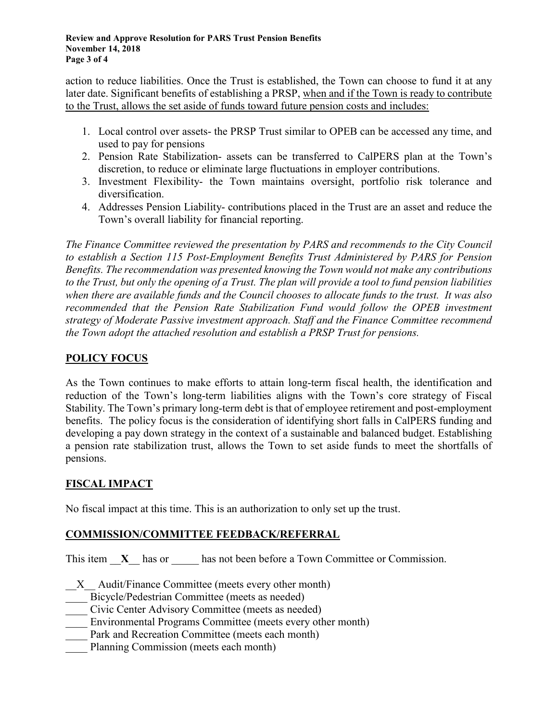#### **Review and Approve Resolution for PARS Trust Pension Benefits November 14, 2018 Page 3 of 4**

action to reduce liabilities. Once the Trust is established, the Town can choose to fund it at any later date. Significant benefits of establishing a PRSP, when and if the Town is ready to contribute to the Trust, allows the set aside of funds toward future pension costs and includes:

- 1. Local control over assets- the PRSP Trust similar to OPEB can be accessed any time, and used to pay for pensions
- 2. Pension Rate Stabilization- assets can be transferred to CalPERS plan at the Town's discretion, to reduce or eliminate large fluctuations in employer contributions.
- 3. Investment Flexibility- the Town maintains oversight, portfolio risk tolerance and diversification.
- 4. Addresses Pension Liability- contributions placed in the Trust are an asset and reduce the Town's overall liability for financial reporting.

*The Finance Committee reviewed the presentation by PARS and recommends to the City Council to establish a Section 115 Post-Employment Benefits Trust Administered by PARS for Pension Benefits. The recommendation was presented knowing the Town would not make any contributions to the Trust, but only the opening of a Trust. The plan will provide a tool to fund pension liabilities when there are available funds and the Council chooses to allocate funds to the trust. It was also recommended that the Pension Rate Stabilization Fund would follow the OPEB investment strategy of Moderate Passive investment approach. Staff and the Finance Committee recommend the Town adopt the attached resolution and establish a PRSP Trust for pensions.*

### **POLICY FOCUS**

As the Town continues to make efforts to attain long-term fiscal health, the identification and reduction of the Town's long-term liabilities aligns with the Town's core strategy of Fiscal Stability. The Town's primary long-term debt is that of employee retirement and post-employment benefits. The policy focus is the consideration of identifying short falls in CalPERS funding and developing a pay down strategy in the context of a sustainable and balanced budget. Establishing a pension rate stabilization trust, allows the Town to set aside funds to meet the shortfalls of pensions.

## **FISCAL IMPACT**

No fiscal impact at this time. This is an authorization to only set up the trust.

### **COMMISSION/COMMITTEE FEEDBACK/REFERRAL**

This item  $X$  has or has not been before a Town Committee or Commission.

 $X$  Audit/Finance Committee (meets every other month)

Bicycle/Pedestrian Committee (meets as needed)

- \_\_\_\_ Civic Center Advisory Committee (meets as needed)
- Environmental Programs Committee (meets every other month)
- Park and Recreation Committee (meets each month)
- Planning Commission (meets each month)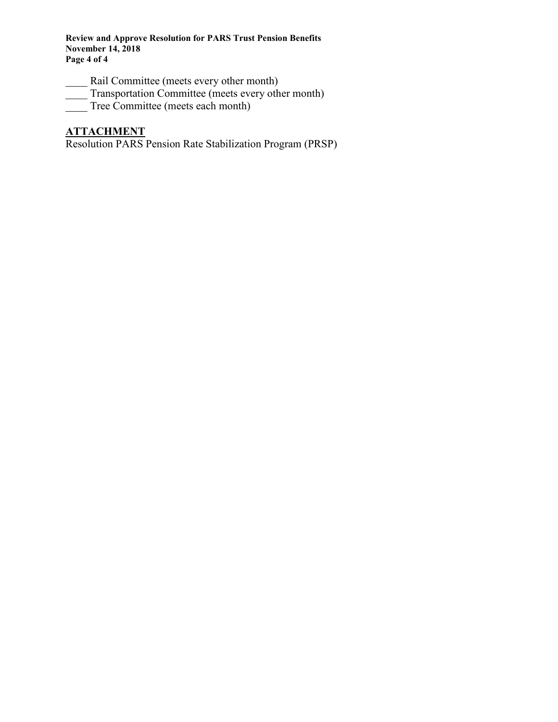**Review and Approve Resolution for PARS Trust Pension Benefits November 14, 2018 Page 4 of 4**

- Rail Committee (meets every other month)
- Transportation Committee (meets every other month)
- Tree Committee (meets each month)

# **ATTACHMENT**

Resolution PARS Pension Rate Stabilization Program (PRSP)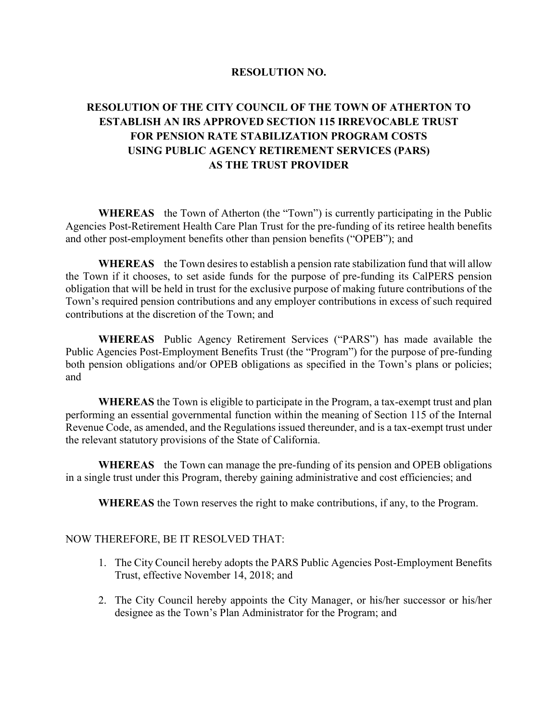#### **RESOLUTION NO.**

## **RESOLUTION OF THE CITY COUNCIL OF THE TOWN OF ATHERTON TO ESTABLISH AN IRS APPROVED SECTION 115 IRREVOCABLE TRUST FOR PENSION RATE STABILIZATION PROGRAM COSTS USING PUBLIC AGENCY RETIREMENT SERVICES (PARS) AS THE TRUST PROVIDER**

**WHEREAS** the Town of Atherton (the "Town") is currently participating in the Public Agencies Post-Retirement Health Care Plan Trust for the pre-funding of its retiree health benefits and other post-employment benefits other than pension benefits ("OPEB"); and

**WHEREAS** the Town desires to establish a pension rate stabilization fund that will allow the Town if it chooses, to set aside funds for the purpose of pre-funding its CalPERS pension obligation that will be held in trust for the exclusive purpose of making future contributions of the Town's required pension contributions and any employer contributions in excess of such required contributions at the discretion of the Town; and

**WHEREAS** Public Agency Retirement Services ("PARS") has made available the Public Agencies Post-Employment Benefits Trust (the "Program") for the purpose of pre-funding both pension obligations and/or OPEB obligations as specified in the Town's plans or policies; and

**WHEREAS** the Town is eligible to participate in the Program, a tax-exempt trust and plan performing an essential governmental function within the meaning of Section 115 of the Internal Revenue Code, as amended, and the Regulations issued thereunder, and is a tax-exempt trust under the relevant statutory provisions of the State of California.

**WHEREAS** the Town can manage the pre-funding of its pension and OPEB obligations in a single trust under this Program, thereby gaining administrative and cost efficiencies; and

**WHEREAS** the Town reserves the right to make contributions, if any, to the Program.

#### NOW THEREFORE, BE IT RESOLVED THAT:

- 1. The City Council hereby adopts the PARS Public Agencies Post-Employment Benefits Trust, effective November 14, 2018; and
- 2. The City Council hereby appoints the City Manager, or his/her successor or his/her designee as the Town's Plan Administrator for the Program; and